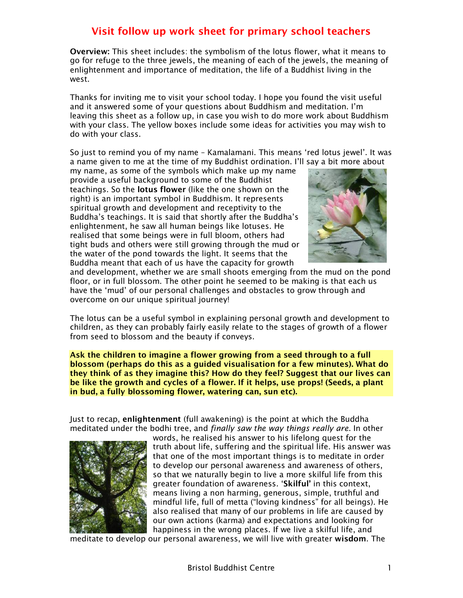Overview: This sheet includes: the symbolism of the lotus flower, what it means to go for refuge to the three jewels, the meaning of each of the jewels, the meaning of enlightenment and importance of meditation, the life of a Buddhist living in the west.

Thanks for inviting me to visit your school today. I hope you found the visit useful and it answered some of your questions about Buddhism and meditation. I'm leaving this sheet as a follow up, in case you wish to do more work about Buddhism with your class. The yellow boxes include some ideas for activities you may wish to do with your class.

So just to remind you of my name – Kamalamani. This means 'red lotus jewel'. It was a name given to me at the time of my Buddhist ordination. I'll say a bit more about

my name, as some of the symbols which make up my name provide a useful background to some of the Buddhist teachings. So the lotus flower (like the one shown on the right) is an important symbol in Buddhism. It represents spiritual growth and development and receptivity to the Buddha's teachings. It is said that shortly after the Buddha's enlightenment, he saw all human beings like lotuses. He realised that some beings were in full bloom, others had tight buds and others were still growing through the mud or the water of the pond towards the light. It seems that the Buddha meant that each of us have the capacity for growth



and development, whether we are small shoots emerging from the mud on the pond floor, or in full blossom. The other point he seemed to be making is that each us have the 'mud' of our personal challenges and obstacles to grow through and overcome on our unique spiritual journey!

The lotus can be a useful symbol in explaining personal growth and development to children, as they can probably fairly easily relate to the stages of growth of a flower from seed to blossom and the beauty if conveys.

Ask the children to imagine a flower growing from a seed through to a full blossom (perhaps do this as a guided visualisation for a few minutes). What do they think of as they imagine this? How do they feel? Suggest that our lives can be like the growth and cycles of a flower. If it helps, use props! (Seeds, a plant in bud, a fully blossoming flower, watering can, sun etc).

Just to recap, enlightenment (full awakening) is the point at which the Buddha meditated under the bodhi tree, and finally saw the way things really are. In other



words, he realised his answer to his lifelong quest for the truth about life, suffering and the spiritual life. His answer was that one of the most important things is to meditate in order to develop our personal awareness and awareness of others, so that we naturally begin to live a more skilful life from this greater foundation of awareness. 'Skilful' in this context, means living a non harming, generous, simple, truthful and mindful life, full of metta ("loving kindness" for all beings). He also realised that many of our problems in life are caused by our own actions (karma) and expectations and looking for happiness in the wrong places. If we live a skilful life, and

meditate to develop our personal awareness, we will live with greater wisdom. The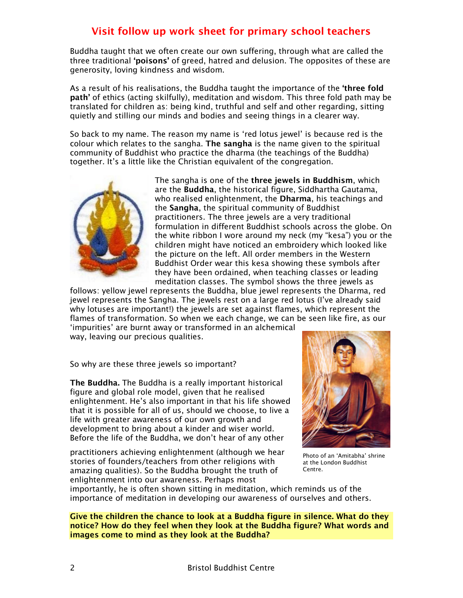Buddha taught that we often create our own suffering, through what are called the three traditional 'poisons' of greed, hatred and delusion. The opposites of these are generosity, loving kindness and wisdom.

As a result of his realisations, the Buddha taught the importance of the 'three fold path' of ethics (acting skilfully), meditation and wisdom. This three fold path may be translated for children as: being kind, truthful and self and other regarding, sitting quietly and stilling our minds and bodies and seeing things in a clearer way.

So back to my name. The reason my name is 'red lotus jewel' is because red is the colour which relates to the sangha. The sangha is the name given to the spiritual community of Buddhist who practice the dharma (the teachings of the Buddha) together. It's a little like the Christian equivalent of the congregation.



The sangha is one of the three jewels in Buddhism, which are the Buddha, the historical figure, Siddhartha Gautama, who realised enlightenment, the **Dharma**, his teachings and the Sangha, the spiritual community of Buddhist practitioners. The three jewels are a very traditional formulation in different Buddhist schools across the globe. On the white ribbon I wore around my neck (my "kesa") you or the children might have noticed an embroidery which looked like the picture on the left. All order members in the Western Buddhist Order wear this kesa showing these symbols after they have been ordained, when teaching classes or leading meditation classes. The symbol shows the three jewels as

follows: yellow jewel represents the Buddha, blue jewel represents the Dharma, red jewel represents the Sangha. The jewels rest on a large red lotus (I've already said why lotuses are important!) the jewels are set against flames, which represent the flames of transformation. So when we each change, we can be seen like fire, as our

'impurities' are burnt away or transformed in an alchemical way, leaving our precious qualities.

So why are these three jewels so important?

The Buddha. The Buddha is a really important historical figure and global role model, given that he realised enlightenment. He's also important in that his life showed that it is possible for all of us, should we choose, to live a life with greater awareness of our own growth and development to bring about a kinder and wiser world. Before the life of the Buddha, we don't hear of any other

practitioners achieving enlightenment (although we hear stories of founders/teachers from other religions with amazing qualities). So the Buddha brought the truth of enlightenment into our awareness. Perhaps most



Photo of an 'Amitabha' shrine at the London Buddhist Centre.

importantly, he is often shown sitting in meditation, which reminds us of the importance of meditation in developing our awareness of ourselves and others.

Give the children the chance to look at a Buddha figure in silence. What do they notice? How do they feel when they look at the Buddha figure? What words and images come to mind as they look at the Buddha?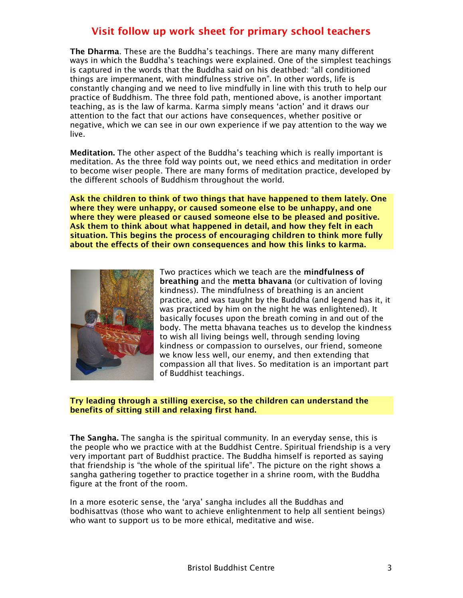The Dharma. These are the Buddha's teachings. There are many many different ways in which the Buddha's teachings were explained. One of the simplest teachings is captured in the words that the Buddha said on his deathbed: "all conditioned things are impermanent, with mindfulness strive on". In other words, life is constantly changing and we need to live mindfully in line with this truth to help our practice of Buddhism. The three fold path, mentioned above, is another important teaching, as is the law of karma. Karma simply means 'action' and it draws our attention to the fact that our actions have consequences, whether positive or negative, which we can see in our own experience if we pay attention to the way we live.

Meditation. The other aspect of the Buddha's teaching which is really important is meditation. As the three fold way points out, we need ethics and meditation in order to become wiser people. There are many forms of meditation practice, developed by the different schools of Buddhism throughout the world.

Ask the children to think of two things that have happened to them lately. One where they were unhappy, or caused someone else to be unhappy, and one where they were pleased or caused someone else to be pleased and positive. Ask them to think about what happened in detail, and how they felt in each situation. This begins the process of encouraging children to think more fully about the effects of their own consequences and how this links to karma.



Two practices which we teach are the **mindfulness of** breathing and the metta bhavana (or cultivation of loving kindness). The mindfulness of breathing is an ancient practice, and was taught by the Buddha (and legend has it, it was practiced by him on the night he was enlightened). It basically focuses upon the breath coming in and out of the body. The metta bhavana teaches us to develop the kindness to wish all living beings well, through sending loving kindness or compassion to ourselves, our friend, someone we know less well, our enemy, and then extending that compassion all that lives. So meditation is an important part of Buddhist teachings.

Try leading through a stilling exercise, so the children can understand the benefits of sitting still and relaxing first hand.

The Sangha. The sangha is the spiritual community. In an everyday sense, this is the people who we practice with at the Buddhist Centre. Spiritual friendship is a very very important part of Buddhist practice. The Buddha himself is reported as saying that friendship is "the whole of the spiritual life". The picture on the right shows a sangha gathering together to practice together in a shrine room, with the Buddha figure at the front of the room.

In a more esoteric sense, the 'arya' sangha includes all the Buddhas and bodhisattvas (those who want to achieve enlightenment to help all sentient beings) who want to support us to be more ethical, meditative and wise.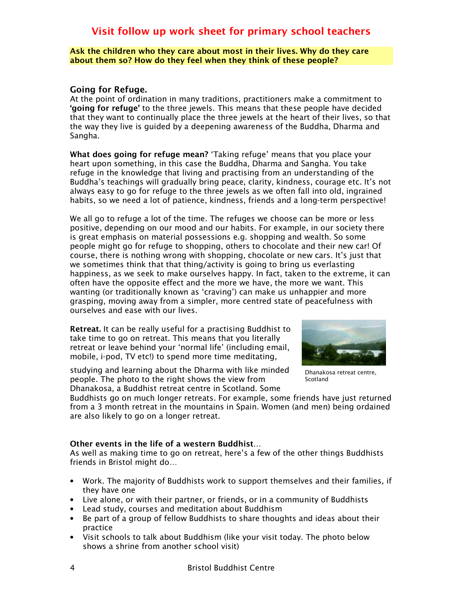Ask the children who they care about most in their lives. Why do they care about them so? How do they feel when they think of these people?

### Going for Refuge.

At the point of ordination in many traditions, practitioners make a commitment to 'going for refuge' to the three jewels. This means that these people have decided that they want to continually place the three jewels at the heart of their lives, so that the way they live is guided by a deepening awareness of the Buddha, Dharma and Sangha.

What does going for refuge mean? 'Taking refuge' means that you place your heart upon something, in this case the Buddha, Dharma and Sangha. You take refuge in the knowledge that living and practising from an understanding of the Buddha's teachings will gradually bring peace, clarity, kindness, courage etc. It's not always easy to go for refuge to the three jewels as we often fall into old, ingrained habits, so we need a lot of patience, kindness, friends and a long-term perspective!

We all go to refuge a lot of the time. The refuges we choose can be more or less positive, depending on our mood and our habits. For example, in our society there is great emphasis on material possessions e.g. shopping and wealth. So some people might go for refuge to shopping, others to chocolate and their new car! Of course, there is nothing wrong with shopping, chocolate or new cars. It's just that we sometimes think that that thing/activity is going to bring us everlasting happiness, as we seek to make ourselves happy. In fact, taken to the extreme, it can often have the opposite effect and the more we have, the more we want. This wanting (or traditionally known as 'craving') can make us unhappier and more grasping, moving away from a simpler, more centred state of peacefulness with ourselves and ease with our lives.

Retreat. It can be really useful for a practising Buddhist to take time to go on retreat. This means that you literally retreat or leave behind your 'normal life' (including email, mobile, i-pod, TV etc!) to spend more time meditating,

studying and learning about the Dharma with like minded people. The photo to the right shows the view from Dhanakosa, a Buddhist retreat centre in Scotland. Some



Dhanakosa retreat centre, Scotland

Buddhists go on much longer retreats. For example, some friends have just returned from a 3 month retreat in the mountains in Spain. Women (and men) being ordained are also likely to go on a longer retreat.

### Other events in the life of a western Buddhist…

As well as making time to go on retreat, here's a few of the other things Buddhists friends in Bristol might do…

- Work. The majority of Buddhists work to support themselves and their families, if they have one
- Live alone, or with their partner, or friends, or in a community of Buddhists
- Lead study, courses and meditation about Buddhism
- Be part of a group of fellow Buddhists to share thoughts and ideas about their practice
- Visit schools to talk about Buddhism (like your visit today. The photo below shows a shrine from another school visit)